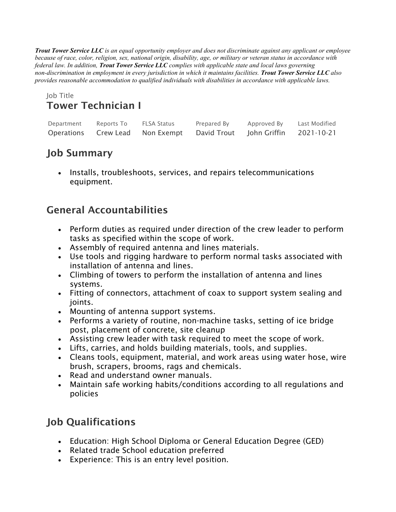*Trout Tower Service LLC is an equal opportunity employer and does not discriminate against any applicant or employee because of race, color, religion, sex, national origin, disability, age, or military or veteran status in accordance with federal law. In addition, Trout Tower Service LLC complies with applicable state and local laws governing non-discrimination in employment in every jurisdiction in which it maintains facilities. Trout Tower Service LLC also provides reasonable accommodation to qualified individuals with disabilities in accordance with applicable laws.*

#### Job Title Tower Technician I

| Department | Reports To | <b>FLSA Status</b>   | Prepared By | Approved By  | Last Modified |
|------------|------------|----------------------|-------------|--------------|---------------|
| Operations |            | Crew Lead Non Exempt | David Trout | John Griffin | 2021-10-21    |

# Job Summary

• Installs, troubleshoots, services, and repairs telecommunications equipment.

# General Accountabilities

- Perform duties as required under direction of the crew leader to perform tasks as specified within the scope of work.
- Assembly of required antenna and lines materials.
- Use tools and rigging hardware to perform normal tasks associated with installation of antenna and lines.
- Climbing of towers to perform the installation of antenna and lines systems.
- Fitting of connectors, attachment of coax to support system sealing and joints.
- Mounting of antenna support systems.
- Performs a variety of routine, non-machine tasks, setting of ice bridge post, placement of concrete, site cleanup
- Assisting crew leader with task required to meet the scope of work.
- Lifts, carries, and holds building materials, tools, and supplies.
- Cleans tools, equipment, material, and work areas using water hose, wire brush, scrapers, brooms, rags and chemicals.
- Read and understand owner manuals.
- Maintain safe working habits/conditions according to all regulations and policies

# Job Qualifications

- Education: High School Diploma or General Education Degree (GED)
- Related trade School education preferred
- Experience: This is an entry level position.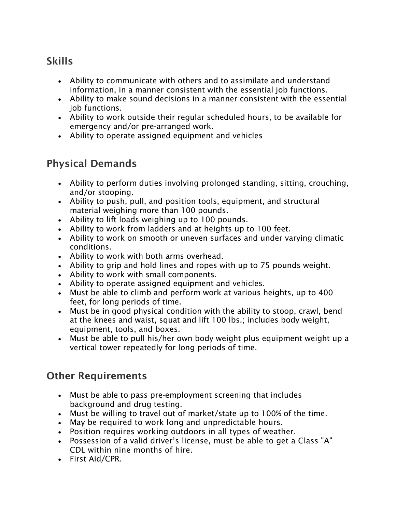## **Skills**

- Ability to communicate with others and to assimilate and understand information, in a manner consistent with the essential job functions.
- Ability to make sound decisions in a manner consistent with the essential job functions.
- Ability to work outside their regular scheduled hours, to be available for emergency and/or pre-arranged work.
- Ability to operate assigned equipment and vehicles

## Physical Demands

- Ability to perform duties involving prolonged standing, sitting, crouching, and/or stooping.
- Ability to push, pull, and position tools, equipment, and structural material weighing more than 100 pounds.
- Ability to lift loads weighing up to 100 pounds.
- Ability to work from ladders and at heights up to 100 feet.
- Ability to work on smooth or uneven surfaces and under varying climatic conditions.
- Ability to work with both arms overhead.
- Ability to grip and hold lines and ropes with up to 75 pounds weight.
- Ability to work with small components.
- Ability to operate assigned equipment and vehicles.
- Must be able to climb and perform work at various heights, up to 400 feet, for long periods of time.
- Must be in good physical condition with the ability to stoop, crawl, bend at the knees and waist, squat and lift 100 lbs.; includes body weight, equipment, tools, and boxes.
- Must be able to pull his/her own body weight plus equipment weight up a vertical tower repeatedly for long periods of time.

# Other Requirements

- Must be able to pass pre-employment screening that includes background and drug testing.
- Must be willing to travel out of market/state up to 100% of the time.
- May be required to work long and unpredictable hours.
- Position requires working outdoors in all types of weather.
- Possession of a valid driver's license, must be able to get a Class "A" CDL within nine months of hire.
- First Aid/CPR.